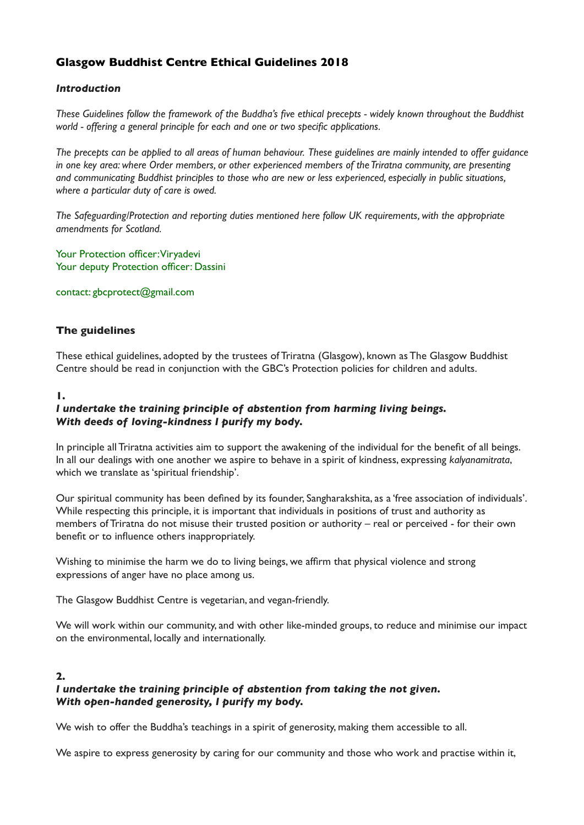# **Glasgow Buddhist Centre Ethical Guidelines 2018**

### *Introduction*

*These Guidelines follow the framework of the Buddha's five ethical precepts - widely known throughout the Buddhist world - offering a general principle for each and one or two specific applications.*

*The precepts can be applied to all areas of human behaviour. These guidelines are mainly intended to offer guidance in one key area: where Order members, or other experienced members of the Triratna community, are presenting and communicating Buddhist principles to those who are new or less experienced, especially in public situations, where a particular duty of care is owed.*

*The Safeguarding/Protection and reporting duties mentioned here follow UK requirements, with the appropriate amendments for Scotland.*

Your Protection officer: Viryadevi Your deputy Protection officer: Dassini

contact: gbcprotect@gmail.com

### **The guidelines**

These ethical guidelines, adopted by the trustees of Triratna (Glasgow), known as The Glasgow Buddhist Centre should be read in conjunction with the GBC's Protection policies for children and adults.

### **1.**

# *I undertake the training principle of abstention from harming living beings. With deeds of loving-kindness I purify my body.*

In principle all Triratna activities aim to support the awakening of the individual for the benefit of all beings. In all our dealings with one another we aspire to behave in a spirit of kindness, expressing *kalyanamitrata*, which we translate as 'spiritual friendship'.

Our spiritual community has been defined by its founder, Sangharakshita, as a 'free association of individuals'. While respecting this principle, it is important that individuals in positions of trust and authority as members of Triratna do not misuse their trusted position or authority – real or perceived - for their own benefit or to influence others inappropriately.

Wishing to minimise the harm we do to living beings, we affirm that physical violence and strong expressions of anger have no place among us.

The Glasgow Buddhist Centre is vegetarian, and vegan-friendly.

We will work within our community, and with other like-minded groups, to reduce and minimise our impact on the environmental, locally and internationally.

### **2.**

### *I undertake the training principle of abstention from taking the not given. With open-handed generosity, I purify my body.*

We wish to offer the Buddha's teachings in a spirit of generosity, making them accessible to all.

We aspire to express generosity by caring for our community and those who work and practise within it,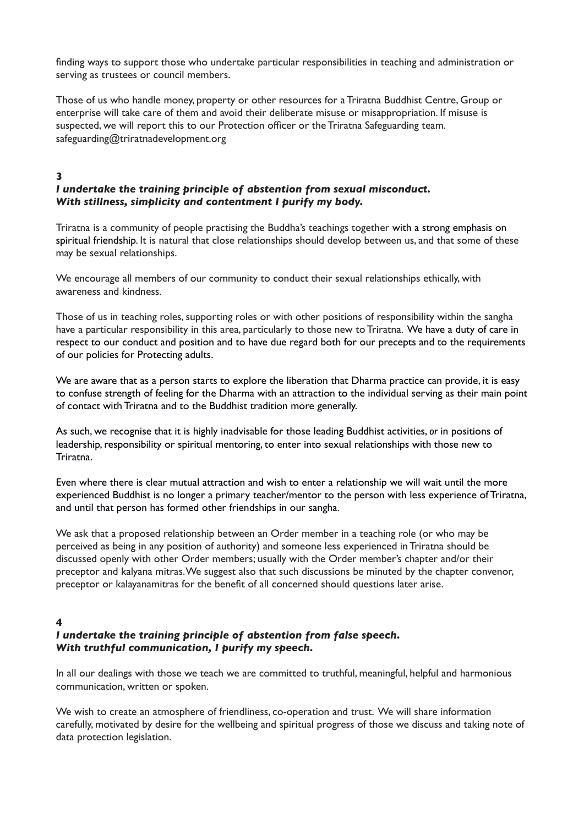finding ways to support those who undertake particular responsibilities in teaching and administration or serving as trustees or council members.

Those of us who handle money, property or other resources for a Triratna Buddhist Centre, Group or enterprise will take care of them and avoid their deliberate misuse or misappropriation. If misuse is suspected, we will report this to our Protection officer or the Triratna Safeguarding team. safeguarding@triratnadevelopment.org

### **3**

### *I undertake the training principle of abstention from sexual misconduct. With stillness, simplicity and contentment I purify my body.*

Triratna is a community of people practising the Buddha's teachings together with a strong emphasis on spiritual friendship. It is natural that close relationships should develop between us, and that some of these may be sexual relationships.

We encourage all members of our community to conduct their sexual relationships ethically, with awareness and kindness.

Those of us in teaching roles, supporting roles or with other positions of responsibility within the sangha have a particular responsibility in this area, particularly to those new to Triratna. We have a duty of care in respect to our conduct and position and to have due regard both for our precepts and to the requirements of our policies for Protecting adults.

We are aware that as a person starts to explore the liberation that Dharma practice can provide, it is easy to confuse strength of feeling for the Dharma with an attraction to the individual serving as their main point of contact with Triratna and to the Buddhist tradition more generally.

As such, we recognise that it is highly inadvisable for those leading Buddhist activities, *or* in positions of leadership, responsibility or spiritual mentoring, to enter into sexual relationships with those new to Triratna.

Even where there is clear mutual attraction and wish to enter a relationship we will wait until the more experienced Buddhist is no longer a primary teacher/mentor to the person with less experience of Triratna, and until that person has formed other friendships in our sangha.

We ask that a proposed relationship between an Order member in a teaching role (or who may be perceived as being in any position of authority) and someone less experienced in Triratna should be discussed openly with other Order members; usually with the Order member's chapter and/or their preceptor and kalyana mitras. We suggest also that such discussions be minuted by the chapter convenor, preceptor or kalayanamitras for the benefit of all concerned should questions later arise.

#### **4**

# *I undertake the training principle of abstention from false speech. With truthful communication, I purify my speech.*

In all our dealings with those we teach we are committed to truthful, meaningful, helpful and harmonious communication, written or spoken.

We wish to create an atmosphere of friendliness, co-operation and trust. We will share information carefully, motivated by desire for the wellbeing and spiritual progress of those we discuss and taking note of data protection legislation.